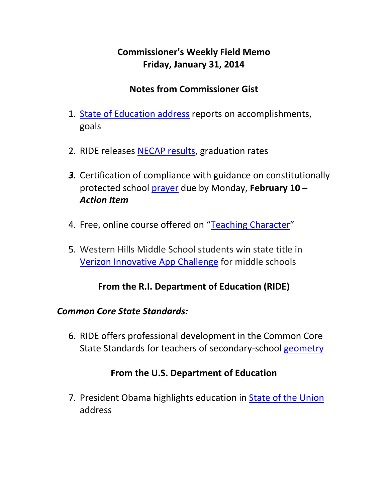# **Commissioner's Weekly Field Memo Friday, January 31, 2014**

#### **Notes from Commissioner Gist**

- 1. State of Education address reports on accomplishments, goals
- 2. RIDE releases NECAP results, graduation rates
- *3.* Certification of compliance with guidance on constitutionally protected school prayer due by Monday, **February 10 –** *Action Item*
- 4. Free, online course offered on "Teaching Character"
- 5. Western Hills Middle School students win state title in Verizon Innovative App Challenge for middle schools

#### **From the R.I. Department of Education (RIDE)**

#### *Common Core State Standards:*

6. RIDE offers professional development in the Common Core State Standards for teachers of secondary‐school geometry

#### **From the U.S. Department of Education**

7. President Obama highlights education in State of the Union address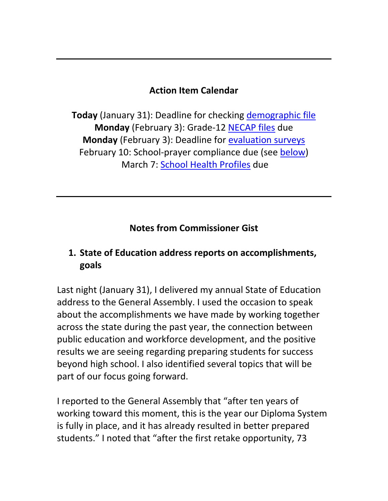#### **Action Item Calendar**

**Today** (January 31): Deadline for checking demographic file **Monday** (February 3): Grade‐12 NECAP files due **Monday** (February 3): Deadline for evaluation surveys February 10: School‐prayer compliance due (see below) March 7: School Health Profiles due

#### **Notes from Commissioner Gist**

#### **1. State of Education address reports on accomplishments, goals**

Last night (January 31), I delivered my annual State of Education address to the General Assembly. I used the occasion to speak about the accomplishments we have made by working together across the state during the past year, the connection between public education and workforce development, and the positive results we are seeing regarding preparing students for success beyond high school. I also identified several topics that will be part of our focus going forward.

I reported to the General Assembly that "after ten years of working toward this moment, this is the year our Diploma System is fully in place, and it has already resulted in better prepared students." I noted that "after the first retake opportunity, 73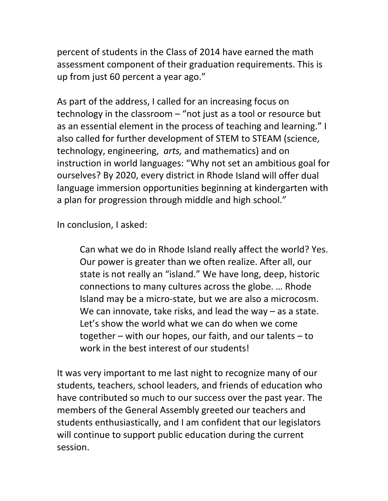percent of students in the Class of 2014 have earned the math assessment component of their graduation requirements. This is up from just 60 percent a year ago."

As part of the address, I called for an increasing focus on technology in the classroom – "not just as a tool or resource but as an essential element in the process of teaching and learning." I also called for further development of STEM to STEAM (science, technology, engineering, *arts,* and mathematics) and on instruction in world languages: "Why not set an ambitious goal for ourselves? By 2020, every district in Rhode Island will offer dual language immersion opportunities beginning at kindergarten with a plan for progression through middle and high school."

In conclusion, I asked:

Can what we do in Rhode Island really affect the world? Yes. Our power is greater than we often realize. After all, our state is not really an "island." We have long, deep, historic connections to many cultures across the globe. … Rhode Island may be a micro‐state, but we are also a microcosm. We can innovate, take risks, and lead the way – as a state. Let's show the world what we can do when we come together – with our hopes, our faith, and our talents – to work in the best interest of our students!

It was very important to me last night to recognize many of our students, teachers, school leaders, and friends of education who have contributed so much to our success over the past year. The members of the General Assembly greeted our teachers and students enthusiastically, and I am confident that our legislators will continue to support public education during the current session.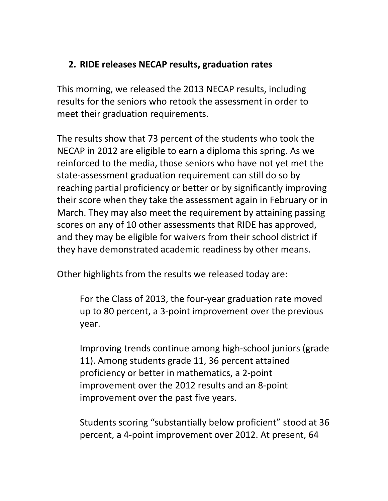#### **2. RIDE releases NECAP results, graduation rates**

This morning, we released the 2013 NECAP results, including results for the seniors who retook the assessment in order to meet their graduation requirements.

The results show that 73 percent of the students who took the NECAP in 2012 are eligible to earn a diploma this spring. As we reinforced to the media, those seniors who have not yet met the state‐assessment graduation requirement can still do so by reaching partial proficiency or better or by significantly improving their score when they take the assessment again in February or in March. They may also meet the requirement by attaining passing scores on any of 10 other assessments that RIDE has approved, and they may be eligible for waivers from their school district if they have demonstrated academic readiness by other means.

Other highlights from the results we released today are:

For the Class of 2013, the four‐year graduation rate moved up to 80 percent, a 3‐point improvement over the previous year.

Improving trends continue among high‐school juniors (grade 11). Among students grade 11, 36 percent attained proficiency or better in mathematics, a 2‐point improvement over the 2012 results and an 8‐point improvement over the past five years.

Students scoring "substantially below proficient" stood at 36 percent, a 4‐point improvement over 2012. At present, 64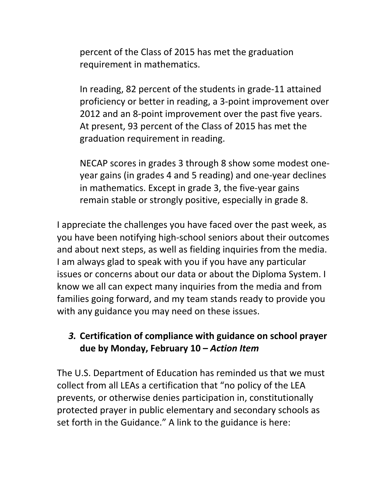percent of the Class of 2015 has met the graduation requirement in mathematics.

In reading, 82 percent of the students in grade‐11 attained proficiency or better in reading, a 3‐point improvement over 2012 and an 8‐point improvement over the past five years. At present, 93 percent of the Class of 2015 has met the graduation requirement in reading.

NECAP scores in grades 3 through 8 show some modest one‐ year gains (in grades 4 and 5 reading) and one‐year declines in mathematics. Except in grade 3, the five‐year gains remain stable or strongly positive, especially in grade 8.

I appreciate the challenges you have faced over the past week, as you have been notifying high‐school seniors about their outcomes and about next steps, as well as fielding inquiries from the media. I am always glad to speak with you if you have any particular issues or concerns about our data or about the Diploma System. I know we all can expect many inquiries from the media and from families going forward, and my team stands ready to provide you with any guidance you may need on these issues.

### *3.* **Certification of compliance with guidance on school prayer due by Monday, February 10 –** *Action Item*

The U.S. Department of Education has reminded us that we must collect from all LEAs a certification that "no policy of the LEA prevents, or otherwise denies participation in, constitutionally protected prayer in public elementary and secondary schools as set forth in the Guidance." A link to the guidance is here: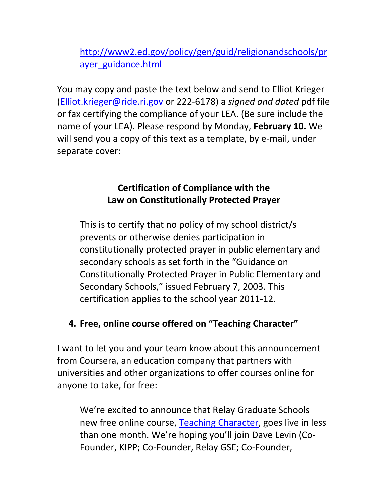http://www2.ed.gov/policy/gen/guid/religionandschools/pr ayer\_guidance.html

You may copy and paste the text below and send to Elliot Krieger (Elliot.krieger@ride.ri.gov or 222‐6178) a *signed and dated* pdf file or fax certifying the compliance of your LEA. (Be sure include the name of your LEA). Please respond by Monday, **February 10.** We will send you a copy of this text as a template, by e-mail, under separate cover:

### **Certification of Compliance with the Law on Constitutionally Protected Prayer**

This is to certify that no policy of my school district/s prevents or otherwise denies participation in constitutionally protected prayer in public elementary and secondary schools as set forth in the "Guidance on Constitutionally Protected Prayer in Public Elementary and Secondary Schools," issued February 7, 2003. This certification applies to the school year 2011‐12.

### **4. Free, online course offered on "Teaching Character"**

I want to let you and your team know about this announcement from Coursera, an education company that partners with universities and other organizations to offer courses online for anyone to take, for free:

We're excited to announce that Relay Graduate Schools new free online course, Teaching Character, goes live in less than one month. We're hoping you'll join Dave Levin (Co‐ Founder, KIPP; Co‐Founder, Relay GSE; Co‐Founder,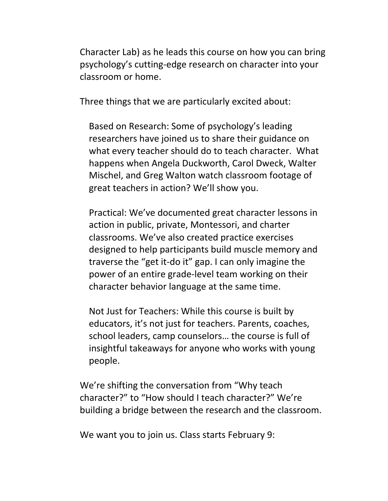Character Lab) as he leads this course on how you can bring psychology's cutting‐edge research on character into your classroom or home.

Three things that we are particularly excited about:

Based on Research: Some of psychology's leading researchers have joined us to share their guidance on what every teacher should do to teach character. What happens when Angela Duckworth, Carol Dweck, Walter Mischel, and Greg Walton watch classroom footage of great teachers in action? We'll show you.

Practical: We've documented great character lessons in action in public, private, Montessori, and charter classrooms. We've also created practice exercises designed to help participants build muscle memory and traverse the "get it‐do it" gap. I can only imagine the power of an entire grade‐level team working on their character behavior language at the same time.

Not Just for Teachers: While this course is built by educators, it's not just for teachers. Parents, coaches, school leaders, camp counselors… the course is full of insightful takeaways for anyone who works with young people.

We're shifting the conversation from "Why teach character?" to "How should I teach character?" We're building a bridge between the research and the classroom.

We want you to join us. Class starts February 9: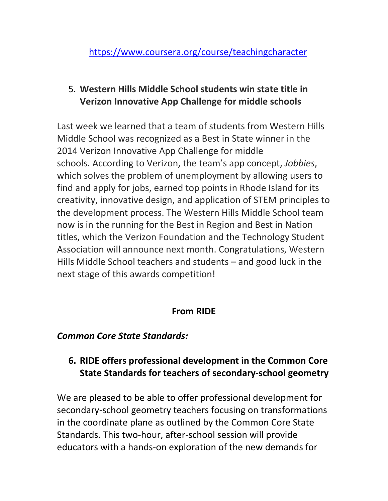### 5. **Western Hills Middle School students win state title in Verizon Innovative App Challenge for middle schools**

Last week we learned that a team of students from Western Hills Middle School was recognized as a Best in State winner in the 2014 Verizon Innovative App Challenge for middle schools. According to Verizon, the team's app concept, *Jobbies*, which solves the problem of unemployment by allowing users to find and apply for jobs, earned top points in Rhode Island for its creativity, innovative design, and application of STEM principles to the development process. The Western Hills Middle School team now is in the running for the Best in Region and Best in Nation titles, which the Verizon Foundation and the Technology Student Association will announce next month. Congratulations, Western Hills Middle School teachers and students – and good luck in the next stage of this awards competition!

### **From RIDE**

### *Common Core State Standards:*

## **6. RIDE offers professional development in the Common Core State Standards for teachers of secondary‐school geometry**

We are pleased to be able to offer professional development for secondary‐school geometry teachers focusing on transformations in the coordinate plane as outlined by the Common Core State Standards. This two‐hour, after‐school session will provide educators with a hands‐on exploration of the new demands for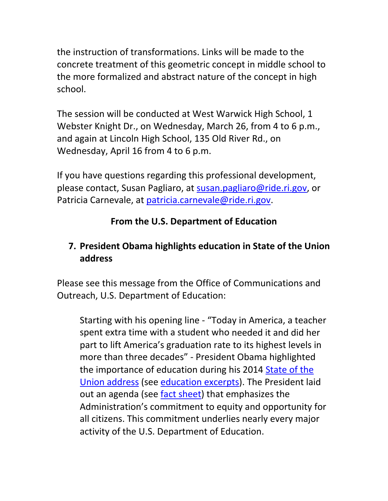the instruction of transformations. Links will be made to the concrete treatment of this geometric concept in middle school to the more formalized and abstract nature of the concept in high school.

The session will be conducted at West Warwick High School, 1 Webster Knight Dr., on Wednesday, March 26, from 4 to 6 p.m., and again at Lincoln High School, 135 Old River Rd., on Wednesday, April 16 from 4 to 6 p.m.

If you have questions regarding this professional development, please contact, Susan Pagliaro, at susan.pagliaro@ride.ri.gov, or Patricia Carnevale, at patricia.carnevale@ride.ri.gov.

## **From the U.S. Department of Education**

# **7. President Obama highlights education in State of the Union address**

Please see this message from the Office of Communications and Outreach, U.S. Department of Education:

Starting with his opening line ‐ "Today in America, a teacher spent extra time with a student who needed it and did her part to lift America's graduation rate to its highest levels in more than three decades" ‐ President Obama highlighted the importance of education during his 2014 State of the Union address (see education excerpts). The President laid out an agenda (see fact sheet) that emphasizes the Administration's commitment to equity and opportunity for all citizens. This commitment underlies nearly every major activity of the U.S. Department of Education.